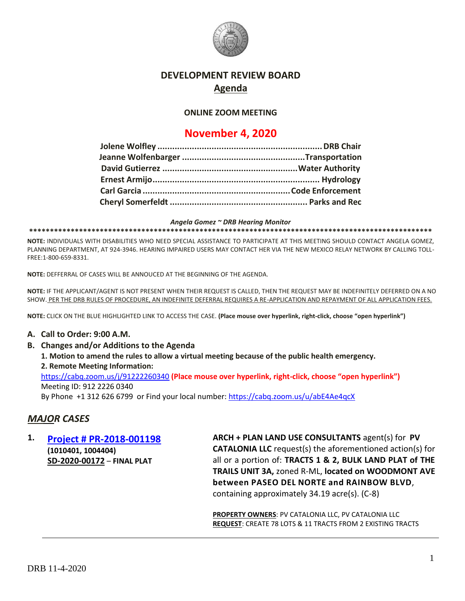

## **DEVELOPMENT REVIEW BOARD Agenda**

#### **ONLINE ZOOM MEETING**

# **November 4, 2020**

*Angela Gomez ~ DRB Hearing Monitor*

**\*\*\*\*\*\*\*\*\*\*\*\*\*\*\*\*\*\*\*\*\*\*\*\*\*\*\*\*\*\*\*\*\*\*\*\*\*\*\*\*\*\*\*\*\*\*\*\*\*\*\*\*\*\*\*\*\*\*\*\*\*\*\*\*\*\*\*\*\*\*\*\*\*\*\*\*\*\*\*\*\*\*\*\*\*\*\*\*\*\*\*\*\*\*\*\*\*** 

**NOTE:** INDIVIDUALS WITH DISABILITIES WHO NEED SPECIAL ASSISTANCE TO PARTICIPATE AT THIS MEETING SHOULD CONTACT ANGELA GOMEZ, PLANNING DEPARTMENT, AT 924-3946. HEARING IMPAIRED USERS MAY CONTACT HER VIA THE NEW MEXICO RELAY NETWORK BY CALLING TOLL-FREE:1-800-659-8331.

**NOTE:** DEFFERRAL OF CASES WILL BE ANNOUCED AT THE BEGINNING OF THE AGENDA.

**NOTE:** IF THE APPLICANT/AGENT IS NOT PRESENT WHEN THEIR REQUEST IS CALLED, THEN THE REQUEST MAY BE INDEFINITELY DEFERRED ON A NO SHOW. PER THE DRB RULES OF PROCEDURE, AN INDEFINITE DEFERRAL REQUIRES A RE-APPLICATION AND REPAYMENT OF ALL APPLICATION FEES.

**NOTE:** CLICK ON THE BLUE HIGHLIGHTED LINK TO ACCESS THE CASE. **(Place mouse over hyperlink, right-click, choose "open hyperlink")**

#### **A. Call to Order: 9:00 A.M.**

**B. Changes and/or Additions to the Agenda 1. Motion to amend the rules to allow a virtual meeting because of the public health emergency. 2. Remote Meeting Information:** <https://cabq.zoom.us/j/91222260340> **(Place mouse over hyperlink, right-click, choose "open hyperlink")** Meeting ID: 912 2226 0340

By Phone +1 312 626 6799 or Find your local number:<https://cabq.zoom.us/u/abE4Ae4qcX>

## *MAJOR CASES*

**1. [Project # PR-2018-001198](http://data.cabq.gov/government/planning/DRB/PR-2018-001198/DRB%20Submittals/PR-2018-001198_Nov_4_2020/DRB%20FP%20Arch%20&%20Plan%20PR-2018-001198%20SD-2020-00172%20signed%20copy.pdf) (1010401, 1004404) SD-2020-00172** – **FINAL PLAT**

**ARCH + PLAN LAND USE CONSULTANTS** agent(s) for **PV CATALONIA LLC** request(s) the aforementioned action(s) for all or a portion of: **TRACTS 1 & 2, BULK LAND PLAT of THE TRAILS UNIT 3A,** zoned R-ML, **located on WOODMONT AVE between PASEO DEL NORTE and RAINBOW BLVD**, containing approximately 34.19 acre(s). (C-8)

**PROPERTY OWNERS**: PV CATALONIA LLC, PV CATALONIA LLC **REQUEST**: CREATE 78 LOTS & 11 TRACTS FROM 2 EXISTING TRACTS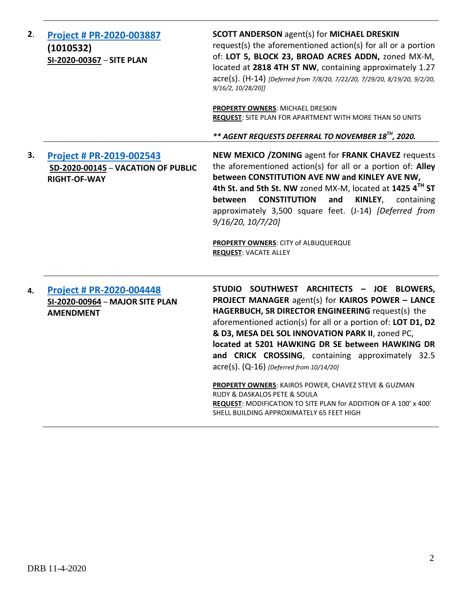| 2. | Project # PR-2020-003887<br>(1010532)<br>SI-2020-00367 - SITE PLAN                            | <b>SCOTT ANDERSON agent(s) for MICHAEL DRESKIN</b><br>request(s) the aforementioned action(s) for all or a portion<br>of: LOT 5, BLOCK 23, BROAD ACRES ADDN, zoned MX-M,<br>located at 2818 4TH ST NW, containing approximately 1.27<br>acre(s). (H-14) [Deferred from 7/8/20, 7/22/20, 7/29/20, 8/19/20, 9/2/20,<br>9/16/2, 10/28/20]]<br>PROPERTY OWNERS: MICHAEL DRESKIN<br>REQUEST: SITE PLAN FOR APARTMENT WITH MORE THAN 50 UNITS                                                                                                                                                                                                |
|----|-----------------------------------------------------------------------------------------------|----------------------------------------------------------------------------------------------------------------------------------------------------------------------------------------------------------------------------------------------------------------------------------------------------------------------------------------------------------------------------------------------------------------------------------------------------------------------------------------------------------------------------------------------------------------------------------------------------------------------------------------|
|    |                                                                                               | ** AGENT REQUESTS DEFERRAL TO NOVEMBER 18 <sup>TH</sup> , 2020.                                                                                                                                                                                                                                                                                                                                                                                                                                                                                                                                                                        |
| 3. | <b>Project # PR-2019-002543</b><br>SD-2020-00145 - VACATION OF PUBLIC<br><b>RIGHT-OF-WAY</b>  | NEW MEXICO / ZONING agent for FRANK CHAVEZ requests<br>the aforementioned action(s) for all or a portion of: Alley<br>between CONSTITUTION AVE NW and KINLEY AVE NW,<br>4th St. and 5th St. NW zoned MX-M, located at 1425 4 <sup>TH</sup> ST<br><b>CONSTITUTION</b><br>and<br>KINLEY, containing<br>between<br>approximately 3,500 square feet. (J-14) [Deferred from<br>9/16/20, 10/7/20]<br>PROPERTY OWNERS: CITY of ALBUQUERQUE<br><b>REQUEST: VACATE ALLEY</b>                                                                                                                                                                    |
| 4. | <b>Project # PR-2020-004448</b><br><b>SI-2020-00964 - MAJOR SITE PLAN</b><br><b>AMENDMENT</b> | STUDIO SOUTHWEST ARCHITECTS - JOE BLOWERS,<br>PROJECT MANAGER agent(s) for KAIROS POWER - LANCE<br>HAGERBUCH, SR DIRECTOR ENGINEERING request(s) the<br>aforementioned action(s) for all or a portion of: LOT D1, D2<br>& D3, MESA DEL SOL INNOVATION PARK II, zoned PC,<br>located at 5201 HAWKING DR SE between HAWKING DR<br>and CRICK CROSSING, containing approximately 32.5<br>acre(s). (Q-16) [Deferred from 10/14/20]<br>PROPERTY OWNERS: KAIROS POWER, CHAVEZ STEVE & GUZMAN<br>RUDY & DASKALOS PETE & SOULA<br>REQUEST: MODIFICATION TO SITE PLAN for ADDITION OF A 100' x 400'<br>SHELL BUILDING APPROXIMATELY 65 FEET HIGH |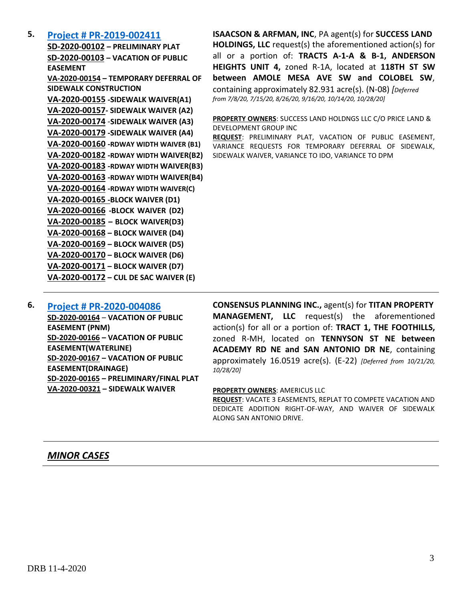### **5. [Project # PR-2019-002411](http://data.cabq.gov/government/planning/DRB/PR-2019-002411/DRB%20Submittals/PR-2019-002411_Sept_16_2020_Supplemental/Application/)**

**SD-2020-00102 – PRELIMINARY PLAT SD-2020-00103 – VACATION OF PUBLIC EASEMENT VA-2020-00154 – TEMPORARY DEFERRAL OF SIDEWALK CONSTRUCTION VA-2020-00155 -SIDEWALK WAIVER(A1) VA-2020-00157- SIDEWALK WAIVER (A2) VA-2020-00174** -**SIDEWALK WAIVER (A3) VA-2020-00179 -SIDEWALK WAIVER (A4) VA-2020-00160 -RDWAY WIDTH WAIVER (B1) VA-2020-00182 -RDWAY WIDTH WAIVER(B2) VA-2020-00183 -RDWAY WIDTH WAIVER(B3) VA-2020-00163 -RDWAY WIDTH WAIVER(B4) VA-2020-00164 -RDWAY WIDTH WAIVER(C) VA-2020-00165 -BLOCK WAIVER (D1) VA-2020-00166 -BLOCK WAIVER (D2) VA-2020-00185 – BLOCK WAIVER(D3) VA-2020-00168 – BLOCK WAIVER (D4) VA-2020-00169 – BLOCK WAIVER (D5) VA-2020-00170 – BLOCK WAIVER (D6) VA-2020-00171 – BLOCK WAIVER (D7) VA-2020-00172 – CUL DE SAC WAIVER (E)**

**ISAACSON & ARFMAN, INC**, PA agent(s) for **SUCCESS LAND HOLDINGS, LLC** request(s) the aforementioned action(s) for all or a portion of: **TRACTS A-1-A & B-1, ANDERSON HEIGHTS UNIT 4,** zoned R-1A, located at **118TH ST SW between AMOLE MESA AVE SW and COLOBEL SW**, containing approximately 82.931 acre(s). (N-08) *[Deferred from 7/8/20, 7/15/20, 8/26/20, 9/16/20, 10/14/20, 10/28/20]*

**PROPERTY OWNERS**: SUCCESS LAND HOLDNGS LLC C/O PRICE LAND & DEVELOPMENT GROUP INC

**REQUEST**: PRELIMINARY PLAT, VACATION OF PUBLIC EASEMENT, VARIANCE REQUESTS FOR TEMPORARY DEFERRAL OF SIDEWALK, SIDEWALK WAIVER, VARIANCE TO IDO, VARIANCE TO DPM

### **6. [Project # PR-2020-004086](http://data.cabq.gov/government/planning/DRB/PR-2020-004086/DRB%20Submittals/PR-2020-004086_Oct_21_2020/Application/)**

**SD-2020-00164** – **VACATION OF PUBLIC EASEMENT (PNM) SD-2020-00166 – VACATION OF PUBLIC EASEMENT(WATERLINE) SD-2020-00167 – VACATION OF PUBLIC EASEMENT(DRAINAGE) SD-2020-00165 – PRELIMINARY/FINAL PLAT VA-2020-00321 – SIDEWALK WAIVER**

**CONSENSUS PLANNING INC.,** agent(s) for **TITAN PROPERTY MANAGEMENT, LLC** request(s) the aforementioned action(s) for all or a portion of: **TRACT 1, THE FOOTHILLS,**  zoned R-MH, located on **TENNYSON ST NE between ACADEMY RD NE and SAN ANTONIO DR NE**, containing approximately 16.0519 acre(s). (E-22) *[Deferred from 10/21/20, 10/28/20]*

#### **PROPERTY OWNERS**: AMERICUS LLC

**REQUEST**: VACATE 3 EASEMENTS, REPLAT TO COMPETE VACATION AND DEDICATE ADDITION RIGHT-OF-WAY, AND WAIVER OF SIDEWALK ALONG SAN ANTONIO DRIVE.

### *MINOR CASES*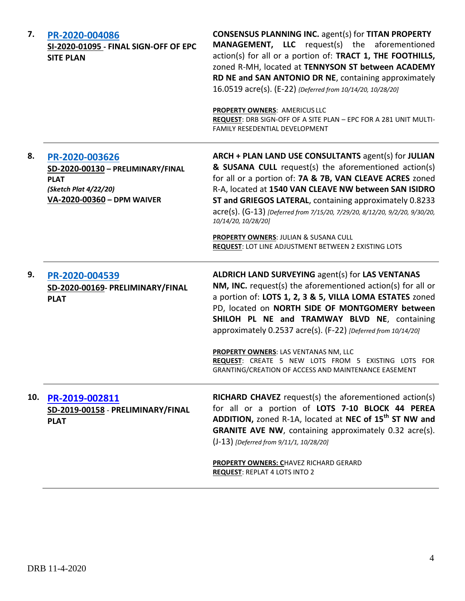| 7.  | PR-2020-004086<br>SI-2020-01095 - FINAL SIGN-OFF OF EPC<br><b>SITE PLAN</b>                                               | <b>CONSENSUS PLANNING INC. agent(s) for TITAN PROPERTY</b><br><b>MANAGEMENT, LLC</b> request(s) the aforementioned<br>action(s) for all or a portion of: TRACT 1, THE FOOTHILLS,<br>zoned R-MH, located at TENNYSON ST between ACADEMY<br>RD NE and SAN ANTONIO DR NE, containing approximately<br>16.0519 acre(s). (E-22) {Deferred from 10/14/20, 10/28/20]<br>PROPERTY OWNERS: AMERICUS LLC<br>REQUEST: DRB SIGN-OFF OF A SITE PLAN - EPC FOR A 281 UNIT MULTI-<br><b>FAMILY RESEDENTIAL DEVELOPMENT</b> |
|-----|---------------------------------------------------------------------------------------------------------------------------|-------------------------------------------------------------------------------------------------------------------------------------------------------------------------------------------------------------------------------------------------------------------------------------------------------------------------------------------------------------------------------------------------------------------------------------------------------------------------------------------------------------|
| 8.  | PR-2020-003626<br>SD-2020-00130 - PRELIMINARY/FINAL<br><b>PLAT</b><br>(Sketch Plat 4/22/20)<br>VA-2020-00360 - DPM WAIVER | ARCH + PLAN LAND USE CONSULTANTS agent(s) for JULIAN<br>& SUSANA CULL request(s) the aforementioned action(s)<br>for all or a portion of: 7A & 7B, VAN CLEAVE ACRES zoned<br>R-A, located at 1540 VAN CLEAVE NW between SAN ISIDRO<br>ST and GRIEGOS LATERAL, containing approximately 0.8233<br>acre(s). (G-13) [Deferred from 7/15/20, 7/29/20, 8/12/20, 9/2/20, 9/30/20,<br>10/14/20, 10/28/20]                                                                                                          |
|     |                                                                                                                           | PROPERTY OWNERS: JULIAN & SUSANA CULL<br><b>REQUEST: LOT LINE ADJUSTMENT BETWEEN 2 EXISTING LOTS</b>                                                                                                                                                                                                                                                                                                                                                                                                        |
| 9.  | PR-2020-004539<br>SD-2020-00169- PRELIMINARY/FINAL<br><b>PLAT</b>                                                         | <b>ALDRICH LAND SURVEYING agent(s) for LAS VENTANAS</b><br>NM, INC. request(s) the aforementioned action(s) for all or<br>a portion of: LOTS 1, 2, 3 & 5, VILLA LOMA ESTATES zoned<br>PD, located on NORTH SIDE OF MONTGOMERY between<br>SHILOH PL NE and TRAMWAY BLVD NE, containing<br>approximately 0.2537 acre(s). (F-22) [Deferred from 10/14/20]<br>PROPERTY OWNERS: LAS VENTANAS NM, LLC                                                                                                             |
|     |                                                                                                                           | REQUEST: CREATE 5 NEW LOTS FROM 5 EXISTING LOTS FOR<br>GRANTING/CREATION OF ACCESS AND MAINTENANCE EASEMENT                                                                                                                                                                                                                                                                                                                                                                                                 |
| 10. | PR-2019-002811<br>SD-2019-00158 - PRELIMINARY/FINAL<br><b>PLAT</b>                                                        | <b>RICHARD CHAVEZ</b> request(s) the aforementioned action(s)<br>for all or a portion of LOTS 7-10 BLOCK 44 PEREA<br>ADDITION, zoned R-1A, located at NEC of 15 <sup>th</sup> ST NW and<br><b>GRANITE AVE NW, containing approximately 0.32 acre(s).</b><br>(J-13) [Deferred from 9/11/1, 10/28/20]                                                                                                                                                                                                         |
|     |                                                                                                                           | PROPERTY OWNERS: CHAVEZ RICHARD GERARD<br><b>REQUEST: REPLAT 4 LOTS INTO 2</b>                                                                                                                                                                                                                                                                                                                                                                                                                              |